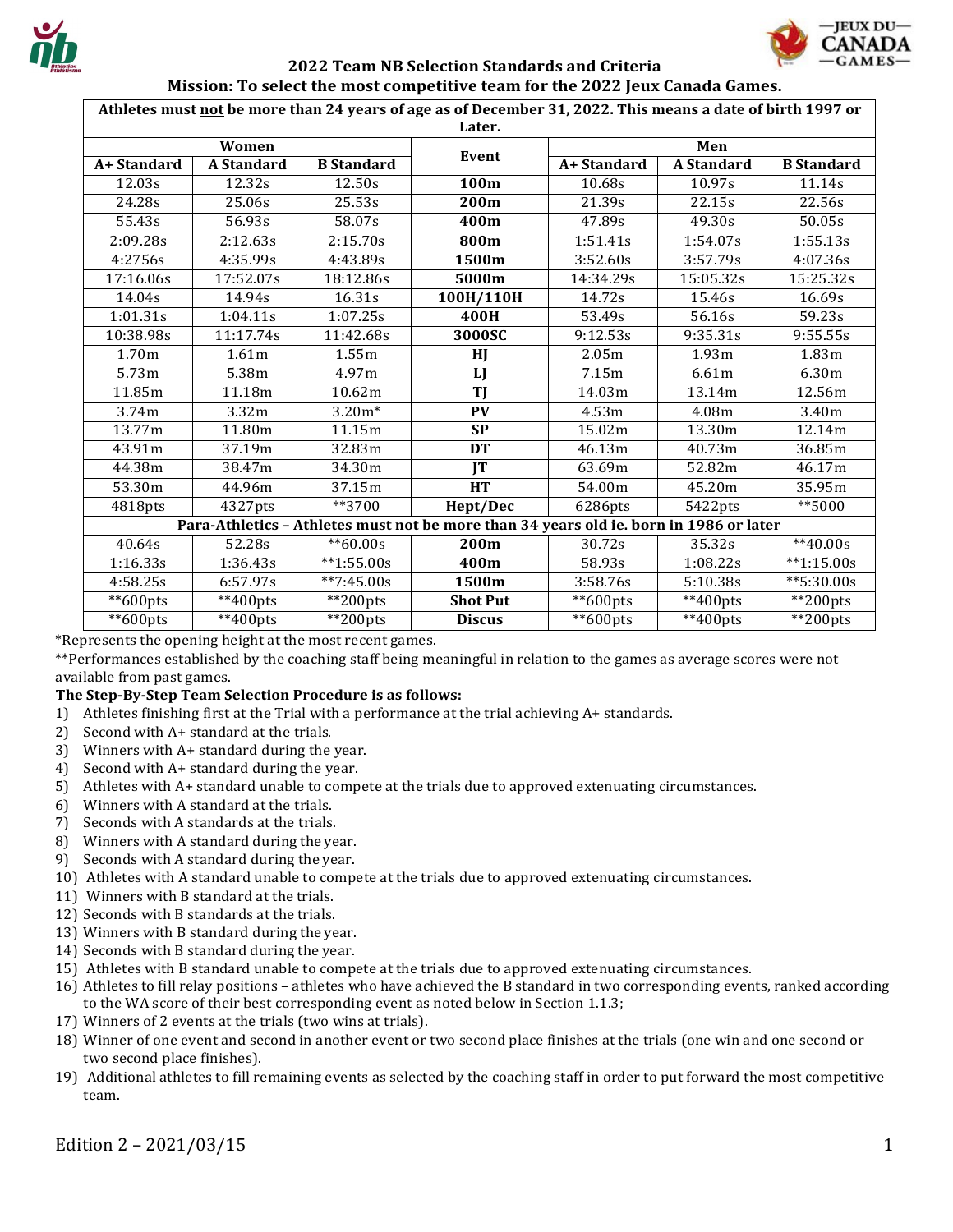

Athletes must not be more than 24 years of age as of December 31, 2022. This means a date of birth 1997 or

| Later.                                                                                 |                   |                   |                 |                     |                     |                   |
|----------------------------------------------------------------------------------------|-------------------|-------------------|-----------------|---------------------|---------------------|-------------------|
| Women                                                                                  |                   |                   |                 | Men                 |                     |                   |
| A+ Standard                                                                            | <b>A</b> Standard | <b>B</b> Standard | Event           | A+ Standard         | <b>A</b> Standard   | <b>B</b> Standard |
| 12.03s                                                                                 | 12.32s            | 12.50s            | 100m            | 10.68s              | 10.97s              | 11.14s            |
| 24.28s                                                                                 | 25.06s            | 25.53s            | 200m            | 21.39s              | 22.15s              | 22.56s            |
| 55.43s                                                                                 | 56.93s            | 58.07s            | 400m            | 47.89s              | 49.30s              | 50.05s            |
| 2:09.28s                                                                               | 2:12.63s          | 2:15.70s          | 800m            | 1:51.41s            | 1:54.07s            | 1:55.13s          |
| 4:2756s                                                                                | 4:35.99s          | 4:43.89s          | 1500m           | 3:52.60s            | 3:57.79s            | 4:07.36s          |
| 17:16.06s                                                                              | 17:52.07s         | 18:12.86s         | 5000m           | 14:34.29s           | 15:05.32s           | 15:25.32s         |
| 14.04s                                                                                 | 14.94s            | 16.31s            | 100H/110H       | 14.72s              | 15.46s              | 16.69s            |
| 1:01.31s                                                                               | 1:04.11s          | 1:07.25s          | 400H            | $\overline{53.49s}$ | 56.16s              | 59.23s            |
| 10:38.98s                                                                              | 11:17.74s         | 11:42.68s         | 3000SC          | 9:12.53s            | 9:35.31s            | 9:55.55s          |
| 1.70m                                                                                  | 1.61m             | 1.55m             | HJ              | 2.05m               | 1.93m               | 1.83m             |
| 5.73 <sub>m</sub>                                                                      | 5.38m             | 4.97m             | LJ              | 7.15m               | 6.61m               | 6.30m             |
| 11.85m                                                                                 | 11.18m            | 10.62m            | $\overline{T}$  | 14.03m              | $\overline{13.14m}$ | 12.56m            |
| 3.74m                                                                                  | 3.32m             | $3.20m*$          | PV              | 4.53m               | 4.08m               | 3.40m             |
| 13.77m                                                                                 | 11.80m            | 11.15m            | <b>SP</b>       | 15.02m              | 13.30m              | 12.14m            |
| 43.91m                                                                                 | 37.19m            | 32.83m            | <b>DT</b>       | 46.13m              | 40.73m              | 36.85m            |
| 44.38m                                                                                 | 38.47m            | 34.30m            | IT              | 63.69m              | 52.82m              | 46.17m            |
| 53.30m                                                                                 | 44.96m            | 37.15m            | <b>HT</b>       | 54.00m              | 45.20m              | 35.95m            |
| 4818pts                                                                                | 4327pts           | **3700            | Hept/Dec        | 6286pts             | 5422pts             | **5000            |
| Para-Athletics - Athletes must not be more than 34 years old ie. born in 1986 or later |                   |                   |                 |                     |                     |                   |
| 40.64s                                                                                 | 52.28s            | $*$ 60.00s        | 200m            | 30.72s              | 35.32s              | $**40.00s$        |
| 1:16.33s                                                                               | 1:36.43s          | $*1:55.00s$       | 400m            | 58.93s              | 1:08.22s            | $*1:15.00s$       |
| 4:58.25s                                                                               | 6:57.97s          | $*$ 7:45.00s      | 1500m           | 3:58.76s            | 5:10.38s            | $**5:30.00s$      |
| **600pts                                                                               | $**400$ pts       | **200pts          | <b>Shot Put</b> | $**$ 600pts         | $**400$ pts         | $**$ 200pts       |
| $*$ 600pts                                                                             | $**400$ pts       | $*$ 200pts        | <b>Discus</b>   | $*$ 600pts          | $**400$ pts         | $*$ 200pts        |

\*Represents the opening height at the most recent games.

\*\*Performances established by the coaching staff being meaningful in relation to the games as average scores were not available from past games.

#### The Step-By-Step Team Selection Procedure is as follows:

- 1) Athletes finishing first at the Trial with a performance at the trial achieving  $A+$  standards.
- Second with A+ standard at the trials.  $2)$
- 3) Winners with A+ standard during the year.
- 4) Second with A+ standard during the year.
- 5) Athletes with A+ standard unable to compete at the trials due to approved extenuating circumstances.
- Winners with A standard at the trials. 6)
- 7) Seconds with A standards at the trials.
- 8) Winners with A standard during the year.
- 9) Seconds with A standard during the year.
- 10) Athletes with A standard unable to compete at the trials due to approved extenuating circumstances.
- 11) Winners with B standard at the trials.
- 12) Seconds with B standards at the trials.
- 13) Winners with B standard during the year.
- 14) Seconds with B standard during the year.
- 15) Athletes with B standard unable to compete at the trials due to approved extenuating circumstances.
- 16) Athletes to fill relay positions athletes who have achieved the B standard in two corresponding events, ranked according to the WA score of their best corresponding event as noted below in Section 1.1.3;
- 17) Winners of 2 events at the trials (two wins at trials).
- 18) Winner of one event and second in another event or two second place finishes at the trials (one win and one second or two second place finishes).
- 19) Additional athletes to fill remaining events as selected by the coaching staff in order to put forward the most competitive team.

**IEUX DU-**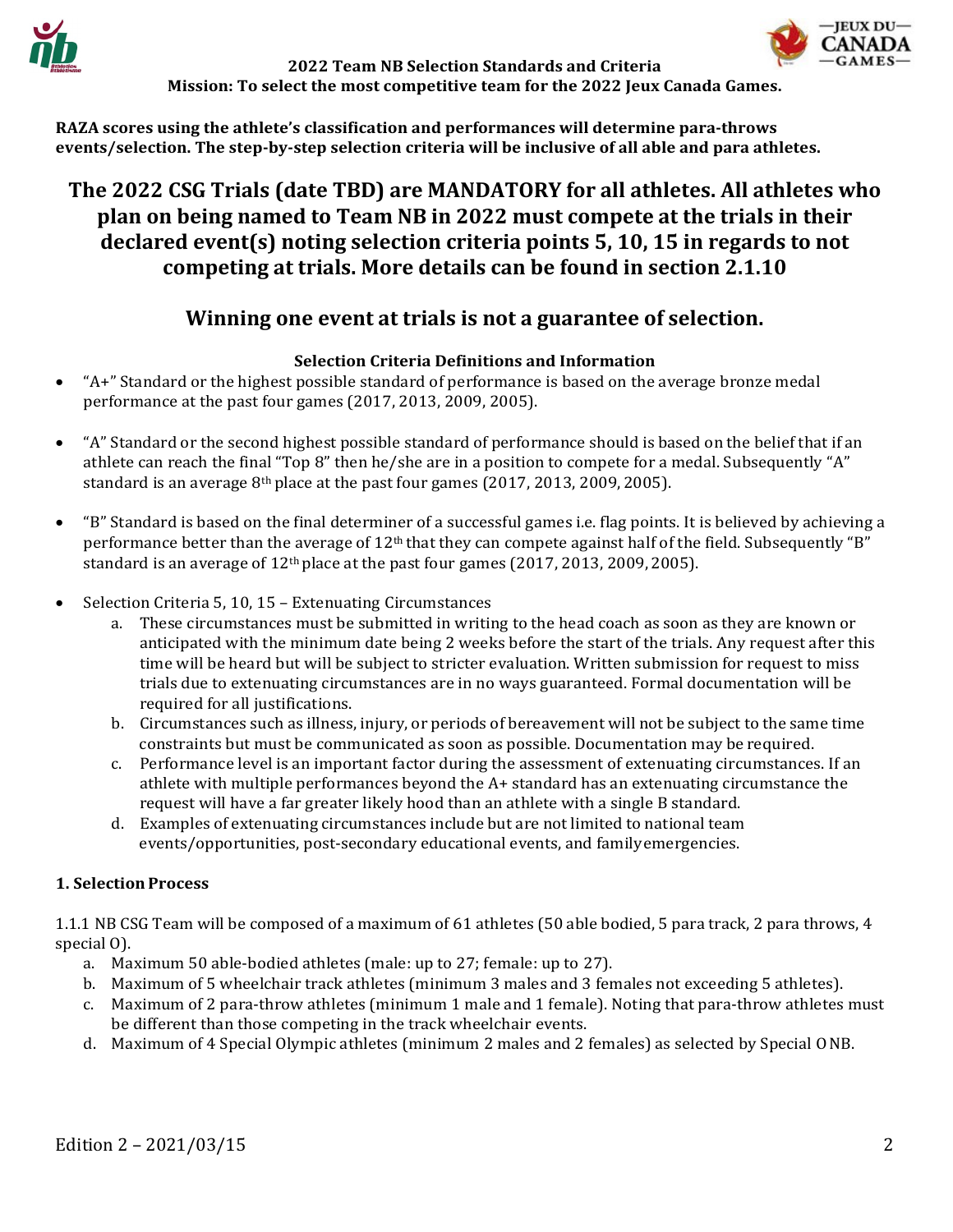



**RAZA scores using the athlete's classification and performances will determine para-throws events/selection. The step-by-step selection criteria will be inclusive of all able and para athletes.**

# **The 2022 CSG Trials (date TBD) are MANDATORY for all athletes. All athletes who plan on being named to Team NB in 2022 must compete at the trials in their declared event(s) noting selection criteria points 5, 10, 15 in regards to not competing at trials. More details can be found in section 2.1.10**

## **Winning one event at trials is not a guarantee of selection.**

## **Selection Criteria Definitions and Information**

- "A+" Standard or the highest possible standard of performance is based on the average bronze medal performance at the past four games (2017, 2013, 2009, 2005).
- "A" Standard or the second highest possible standard of performance should is based on the belief that if an athlete can reach the final "Top 8" then he/she are in a position to compete for a medal. Subsequently "A" standard is an average 8th place at the past four games (2017, 2013, 2009, 2005).
- "B" Standard is based on the final determiner of a successful games i.e. flag points. It is believed by achieving a performance better than the average of  $12<sup>th</sup>$  that they can compete against half of the field. Subsequently "B" standard is an average of  $12<sup>th</sup>$  place at the past four games (2017, 2013, 2009, 2005).
- Selection Criteria 5, 10, 15 Extenuating Circumstances
	- a. These circumstances must be submitted in writing to the head coach as soon as they are known or anticipated with the minimum date being 2 weeks before the start of the trials. Any request after this time will be heard but will be subject to stricter evaluation. Written submission for request to miss trials due to extenuating circumstances are in no ways guaranteed. Formal documentation will be required for all justifications.
	- b. Circumstances such as illness, injury, or periods of bereavement will not be subject to the same time constraints but must be communicated as soon as possible. Documentation may be required.
	- c. Performance level is an important factor during the assessment of extenuating circumstances. If an athlete with multiple performances beyond the A+ standard has an extenuating circumstance the request will have a far greater likely hood than an athlete with a single B standard.
	- d. Examples of extenuating circumstances include but are not limited to national team events/opportunities, post-secondary educational events, and familyemergencies.

## **1. Selection Process**

1.1.1 NB CSG Team will be composed of a maximum of 61 athletes (50 able bodied, 5 para track, 2 para throws, 4 special O).

- a. Maximum 50 able-bodied athletes (male: up to 27; female: up to 27).
- b. Maximum of 5 wheelchair track athletes (minimum 3 males and 3 females not exceeding 5 athletes).
- c. Maximum of 2 para-throw athletes (minimum 1 male and 1 female). Noting that para-throw athletes must be different than those competing in the track wheelchair events.
- d. Maximum of 4 Special Olympic athletes (minimum 2 males and 2 females) as selected by Special ONB.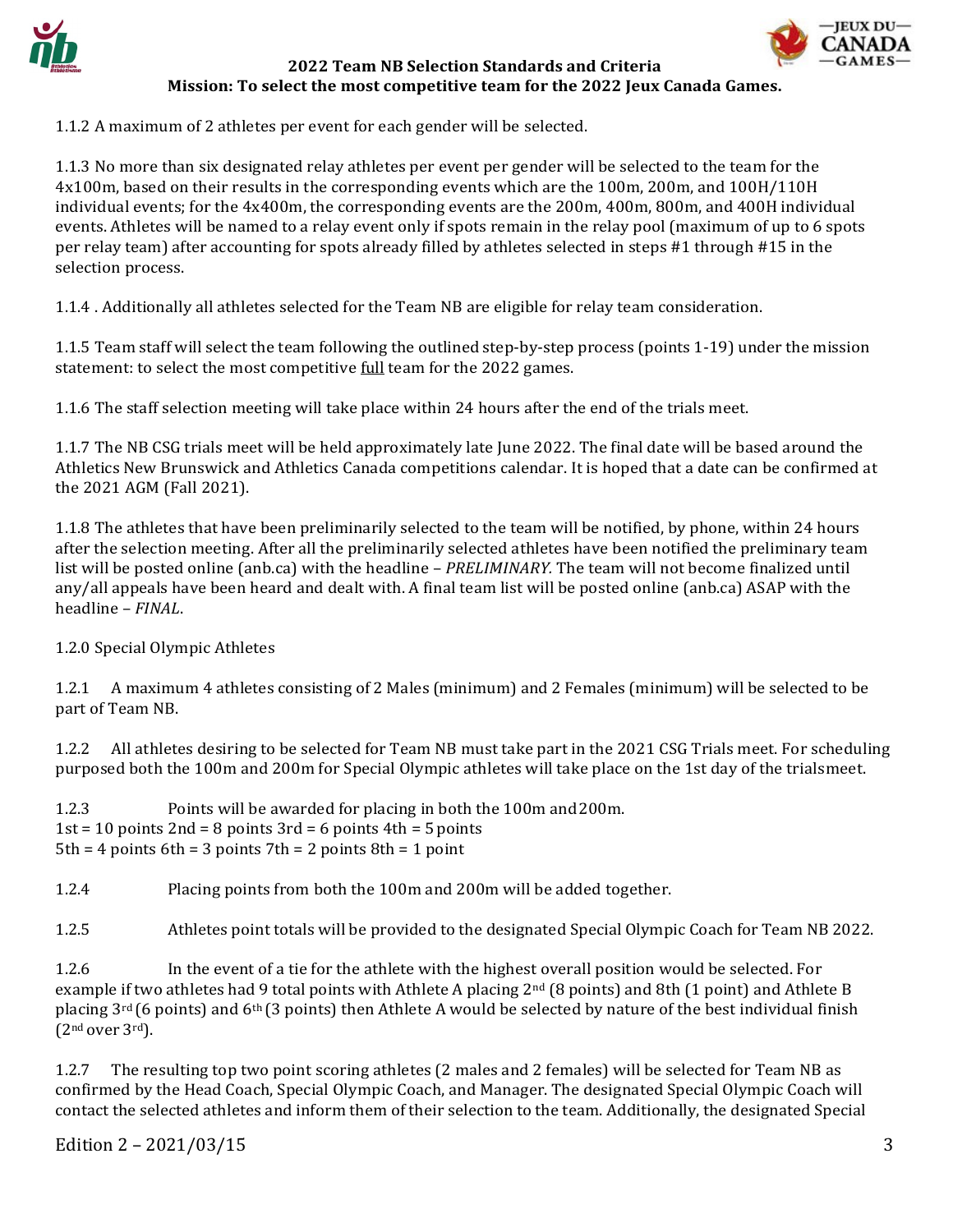





1.1.2 A maximum of 2 athletes per event for each gender will be selected.

1.1.3 No more than six designated relay athletes per event per gender will be selected to the team for the 4x100m, based on their results in the corresponding events which are the 100m, 200m, and 100H/110H individual events; for the 4x400m, the corresponding events are the 200m, 400m, 800m, and 400H individual events. Athletes will be named to a relay event only if spots remain in the relay pool (maximum of up to 6 spots per relay team) after accounting for spots already filled by athletes selected in steps #1 through #15 in the selection process.

1.1.4 . Additionally all athletes selected for the Team NB are eligible for relay team consideration.

1.1.5 Team staff will select the team following the outlined step-by-step process (points 1-19) under the mission statement: to select the most competitive *full* team for the 2022 games.

1.1.6 The staff selection meeting will take place within 24 hours after the end of the trials meet.

1.1.7 The NB CSG trials meet will be held approximately late June 2022. The final date will be based around the Athletics New Brunswick and Athletics Canada competitions calendar. It is hoped that a date can be confirmed at the 2021 AGM (Fall 2021).

1.1.8 The athletes that have been preliminarily selected to the team will be notified, by phone, within 24 hours after the selection meeting. After all the preliminarily selected athletes have been notified the preliminary team list will be posted online (anb.ca) with the headline – *PRELIMINARY.* The team will not become finalized until any/all appeals have been heard and dealt with. A final team list will be posted online (anb.ca) ASAP with the headline – *FINAL*.

1.2.0 Special Olympic Athletes

1.2.1 A maximum 4 athletes consisting of 2 Males (minimum) and 2 Females (minimum) will be selected to be part of Team NB.

1.2.2 All athletes desiring to be selected for Team NB must take part in the 2021 CSG Trials meet. For scheduling purposed both the 100m and 200m for Special Olympic athletes will take place on the 1st day of the trialsmeet.

1.2.3 Points will be awarded for placing in both the 100m and200m.  $1st = 10$  points  $2nd = 8$  points  $3rd = 6$  points  $4th = 5$  points  $5th = 4$  points  $6th = 3$  points  $7th = 2$  points  $8th = 1$  point

1.2.4 Placing points from both the 100m and 200m will be added together.

1.2.5 Athletes point totals will be provided to the designated Special Olympic Coach for Team NB 2022.

1.2.6 In the event of a tie for the athlete with the highest overall position would be selected. For example if two athletes had 9 total points with Athlete A placing 2<sup>nd</sup> (8 points) and 8th (1 point) and Athlete B placing  $3<sup>rd</sup>$  (6 points) and 6<sup>th</sup> (3 points) then Athlete A would be selected by nature of the best individual finish  $(2<sup>nd</sup> over 3<sup>rd</sup>).$ 

1.2.7 The resulting top two point scoring athletes (2 males and 2 females) will be selected for Team NB as confirmed by the Head Coach, Special Olympic Coach, and Manager. The designated Special Olympic Coach will contact the selected athletes and inform them of their selection to the team. Additionally, the designated Special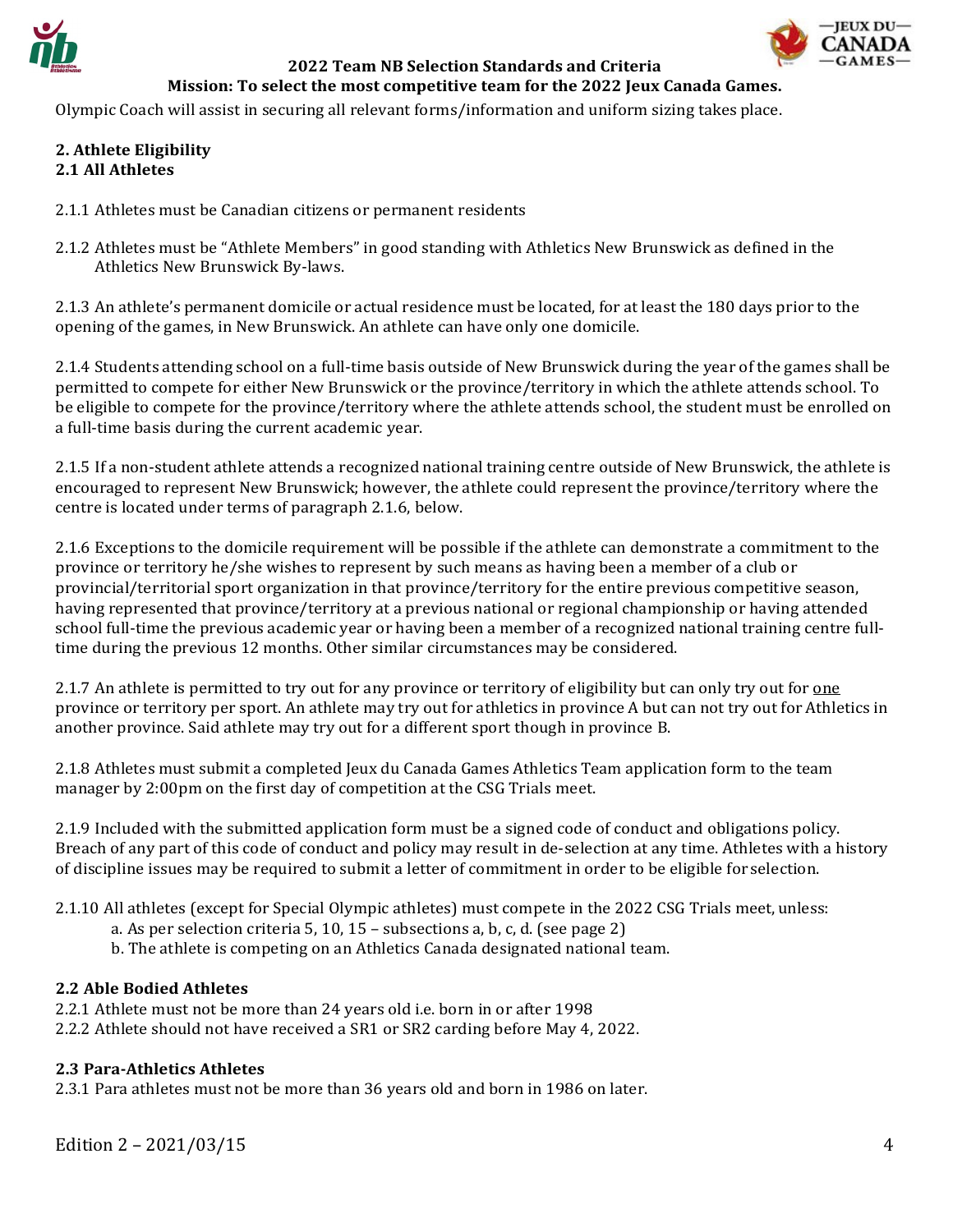

Olympic Coach will assist in securing all relevant forms/information and uniform sizing takes place.

#### **2. Athlete Eligibility 2.1 All Athletes**

- 2.1.1 Athletes must be Canadian citizens or permanent residents
- 2.1.2 Athletes must be "Athlete Members" in good standing with Athletics New Brunswick as defined in the Athletics New Brunswick By-laws.

2.1.3 An athlete's permanent domicile or actual residence must be located, for at least the 180 days prior to the opening of the games, in New Brunswick. An athlete can have only one domicile.

2.1.4 Students attending school on a full-time basis outside of New Brunswick during the year of the games shall be permitted to compete for either New Brunswick or the province/territory in which the athlete attends school. To be eligible to compete for the province/territory where the athlete attends school, the student must be enrolled on a full-time basis during the current academic year.

2.1.5 If a non-student athlete attends a recognized national training centre outside of New Brunswick, the athlete is encouraged to represent New Brunswick; however, the athlete could represent the province/territory where the centre is located under terms of paragraph 2.1.6, below.

2.1.6 Exceptions to the domicile requirement will be possible if the athlete can demonstrate a commitment to the province or territory he/she wishes to represent by such means as having been a member of a club or provincial/territorial sport organization in that province/territory for the entire previous competitive season, having represented that province/territory at a previous national or regional championship or having attended school full-time the previous academic year or having been a member of a recognized national training centre fulltime during the previous 12 months. Other similar circumstances may be considered.

2.1.7 An athlete is permitted to try out for any province or territory of eligibility but can only try out for one province or territory per sport. An athlete may try out for athletics in province A but can not try out for Athletics in another province. Said athlete may try out for a different sport though in province B.

2.1.8 Athletes must submit a completed Jeux du Canada Games Athletics Team application form to the team manager by 2:00pm on the first day of competition at the CSG Trials meet.

2.1.9 Included with the submitted application form must be a signed code of conduct and obligations policy. Breach of any part of this code of conduct and policy may result in de-selection at any time. Athletes with a history of discipline issues may be required to submit a letter of commitment in order to be eligible for selection.

- 2.1.10 All athletes (except for Special Olympic athletes) must compete in the 2022 CSG Trials meet,unless:
	- a. As per selection criteria 5, 10, 15 subsections a, b, c, d. (see page 2)
	- b. The athlete is competing on an Athletics Canada designated national team.

#### **2.2 Able Bodied Athletes**

- 2.2.1 Athlete must not be more than 24 years old i.e. born in or after 1998
- 2.2.2 Athlete should not have received a SR1 or SR2 carding before May 4, 2022.

#### **2.3 Para-Athletics Athletes**

2.3.1 Para athletes must not be more than 36 years old and born in 1986 on later.

Edition  $2 - \frac{2021}{03}{15}$  4

**IEUX DU-**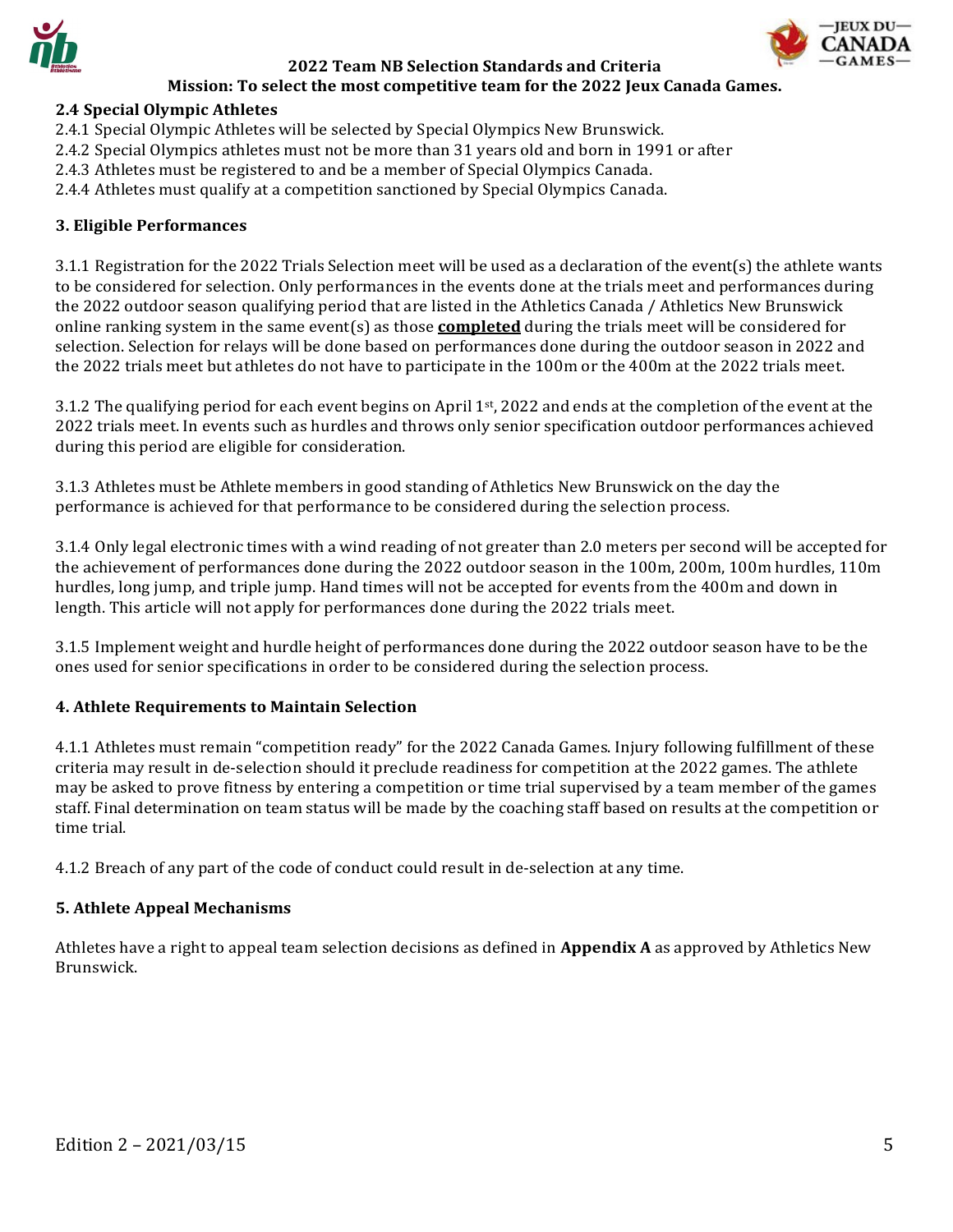



- 2.4.1 Special Olympic Athletes will be selected by Special Olympics New Brunswick.
- 2.4.2 Special Olympics athletes must not be more than 31 years old and born in 1991 or after
- 2.4.3 Athletes must be registered to and be a member of Special Olympics Canada.
- 2.4.4 Athletes must qualify at a competition sanctioned by Special Olympics Canada.

#### **3. Eligible Performances**

3.1.1 Registration for the 2022 Trials Selection meet will be used as a declaration of the event(s) the athlete wants to be considered for selection. Only performances in the events done at the trials meet and performances during the 2022 outdoor season qualifying period that are listed in the Athletics Canada / Athletics New Brunswick online ranking system in the same event(s) as those **completed** during the trials meet will be considered for selection. Selection for relays will be done based on performances done during the outdoor season in 2022 and the 2022 trials meet but athletes do not have to participate in the 100m or the 400m at the 2022 trials meet.

3.1.2 The qualifying period for each event begins on April 1st, 2022 and ends at the completion of the event at the 2022 trials meet. In events such as hurdles and throws only senior specification outdoor performances achieved during this period are eligible for consideration.

3.1.3 Athletes must be Athlete members in good standing of Athletics New Brunswick on the day the performance is achieved for that performance to be considered during the selection process.

3.1.4 Only legal electronic times with a wind reading of not greater than 2.0 meters per second will be accepted for the achievement of performances done during the 2022 outdoor season in the 100m, 200m, 100m hurdles, 110m hurdles, long jump, and triple jump. Hand times will not be accepted for events from the 400m and down in length. This article will not apply for performances done during the 2022 trials meet.

3.1.5 Implement weight and hurdle height of performances done during the 2022 outdoor season have to be the ones used for senior specifications in order to be considered during the selection process.

#### **4. Athlete Requirements to Maintain Selection**

4.1.1 Athletes must remain "competition ready" for the 2022 Canada Games. Injury following fulfillment of these criteria may result in de-selection should it preclude readiness for competition at the 2022 games. The athlete may be asked to prove fitness by entering a competition or time trial supervised by a team member of the games staff. Final determination on team status will be made by the coaching staff based on results at the competition or time trial.

4.1.2 Breach of any part of the code of conduct could result in de-selection at any time.

#### **5. Athlete Appeal Mechanisms**

Athletes have a right to appeal team selection decisions as defined in **Appendix A** as approved by Athletics New Brunswick.

**IEUX DU-**